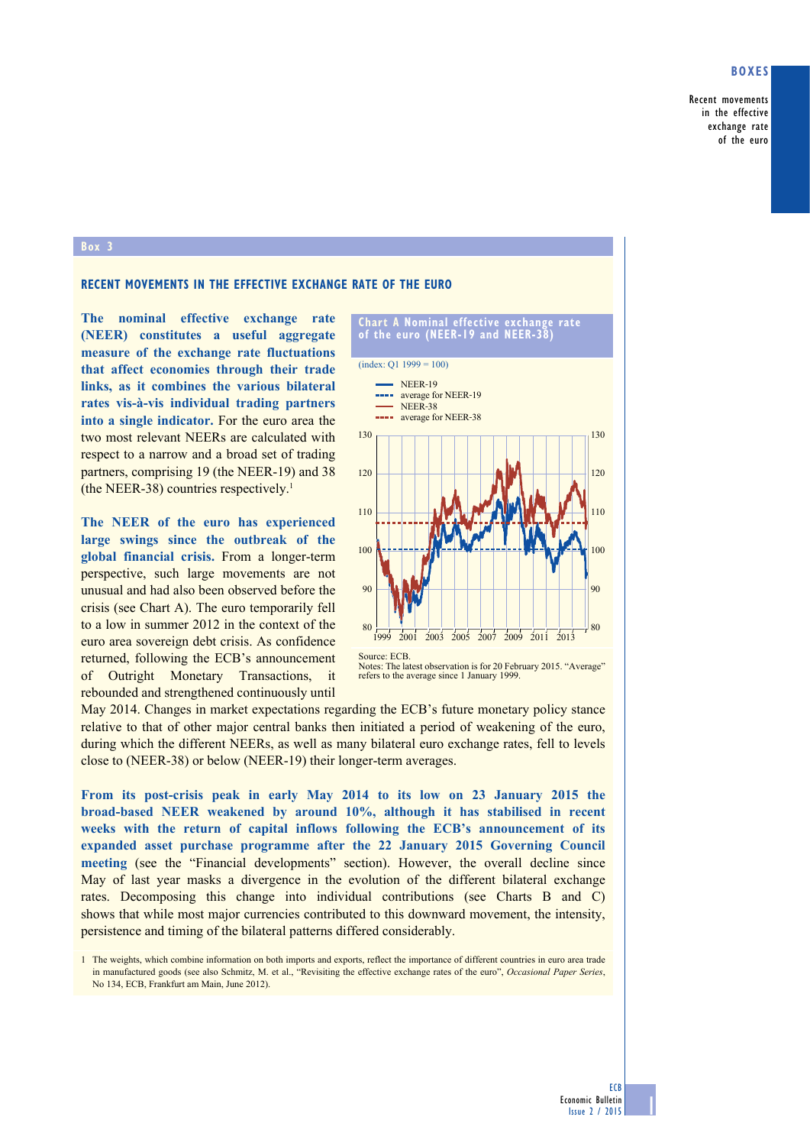### **Boxes**

Recent movements in the effective exchange rate of the euro

#### **Box 3**

# **Recent movements in the effective exchange rate of the euro**

**The nominal effective exchange rate (NEER) constitutes a useful aggregate measure of the exchange rate fluctuations that affect economies through their trade links, as it combines the various bilateral rates vis-à-vis individual trading partners into a single indicator.** For the euro area the two most relevant NEERs are calculated with respect to a narrow and a broad set of trading partners, comprising 19 (the NEER-19) and 38 (the NEER-38) countries respectively.<sup>1</sup>

**The NEER of the euro has experienced large swings since the outbreak of the global financial crisis.** From a longer-term perspective, such large movements are not unusual and had also been observed before the crisis (see Chart A). The euro temporarily fell to a low in summer 2012 in the context of the euro area sovereign debt crisis. As confidence returned, following the ECB's announcement of Outright Monetary Transactions, it rebounded and strengthened continuously until



Notes: The latest observation is for 20 February 2015. "Average" refers to the average since 1 January 1999.

May 2014. Changes in market expectations regarding the ECB's future monetary policy stance relative to that of other major central banks then initiated a period of weakening of the euro, during which the different NEERs, as well as many bilateral euro exchange rates, fell to levels close to (NEER-38) or below (NEER-19) their longer-term averages.

**From its post-crisis peak in early May 2014 to its low on 23 January 2015 the broad-based NEER weakened by around 10%, although it has stabilised in recent weeks with the return of capital inflows following the ECB's announcement of its expanded asset purchase programme after the 22 January 2015 Governing Council meeting** (see the "Financial developments" section). However, the overall decline since May of last year masks a divergence in the evolution of the different bilateral exchange rates. Decomposing this change into individual contributions (see Charts B and C) shows that while most major currencies contributed to this downward movement, the intensity, persistence and timing of the bilateral patterns differed considerably.

1 The weights, which combine information on both imports and exports, reflect the importance of different countries in euro area trade in manufactured goods (see also Schmitz, M. et al., "Revisiting the effective exchange rates of the euro", *Occasional Paper Series*, No 134, ECB, Frankfurt am Main, June 2012).

1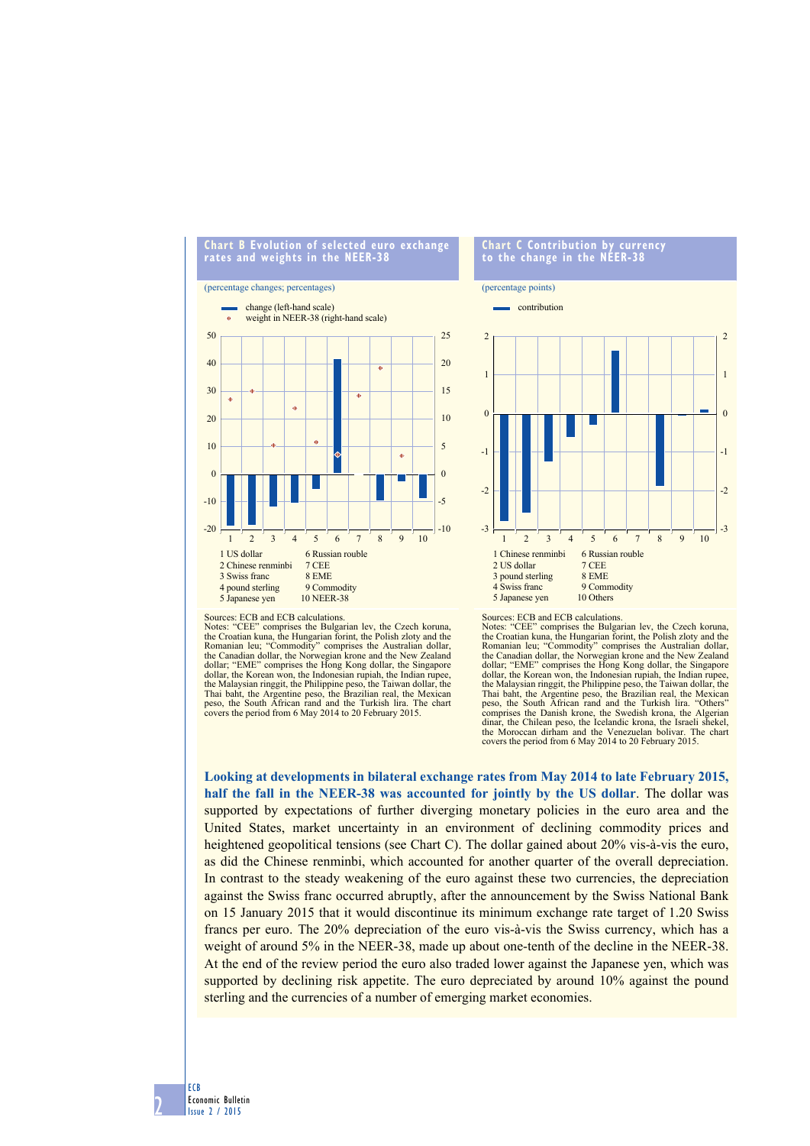#### **chart B evolution of selected euro exchange rates and weights in the neeR-38**

### (percentage changes; percentages)



#### **chart c contribution by currency to the change in the neeR-38**



Notes: "CEE" comprises the Bulgarian lev, the Czech koruna, the Croatian kuna, the Hungarian forint, the Polish zloty and the Romanian leu; "Commodity" comprises the Australian dollar, the Canadian dollar, the Norwegian krone and the New Zealand dollar; "EME" comprises the Hong Kong dollar, the Singapore dollar, the Korean won, the Indonesian rupiah, the Indian rupee, the Malaysian ringgit, the Philippine peso, the Taiwan dollar, the Thai baht, the Argentine peso, the Brazilian real, the Mexican peso, the South African rand and the Turkish lira. The chart covers the period from 6 May 2014 to 20 February 2015.

Sources: ECB and ECB calculations.

Notes: "CEE" comprises the Bulgarian lev, the Czech koruna, the Croatian kuna, the Hungarian forint, the Polish zloty and the Romanian leu; "Commodity" comprises the Australian dollar, the Canadian dollar, the Norwegian krone and the New Zealand dollar; "EME" comprises the Hong Kong dollar, the Singapore dollar, the Korean won, the Indonesian rupiah, the Indian rupee, the Malaysian ringgit, the Philippine peso, the Taiwan dollar, the Thai baht, the Argentine peso, the Brazilian real, the Mexican peso, the South African rand and the Turkish lira. "Others" comprises the Danish krone, the Swedish krona, the Algerian dinar, the Chilean peso, the Icelandic krona, the Israeli shekel, the Moroccan dirham and the Venezuelan bolivar. The chart covers the period from 6 May 2014 to 20 February 2015.

**Looking at developments in bilateral exchange rates from May 2014 to late February 2015, half the fall in the NEER-38 was accounted for jointly by the US dollar**. The dollar was supported by expectations of further diverging monetary policies in the euro area and the United States, market uncertainty in an environment of declining commodity prices and heightened geopolitical tensions (see Chart C). The dollar gained about 20% vis-à-vis the euro, as did the Chinese renminbi, which accounted for another quarter of the overall depreciation. In contrast to the steady weakening of the euro against these two currencies, the depreciation against the Swiss franc occurred abruptly, after the announcement by the Swiss National Bank on 15 January 2015 that it would discontinue its minimum exchange rate target of 1.20 Swiss francs per euro. The 20% depreciation of the euro vis-à-vis the Swiss currency, which has a weight of around 5% in the NEER-38, made up about one-tenth of the decline in the NEER-38. At the end of the review period the euro also traded lower against the Japanese yen, which was supported by declining risk appetite. The euro depreciated by around 10% against the pound sterling and the currencies of a number of emerging market economies.

ECB Economic Bulletin Issue 2 / 2015

2

Sources: ECB and ECB calculations.